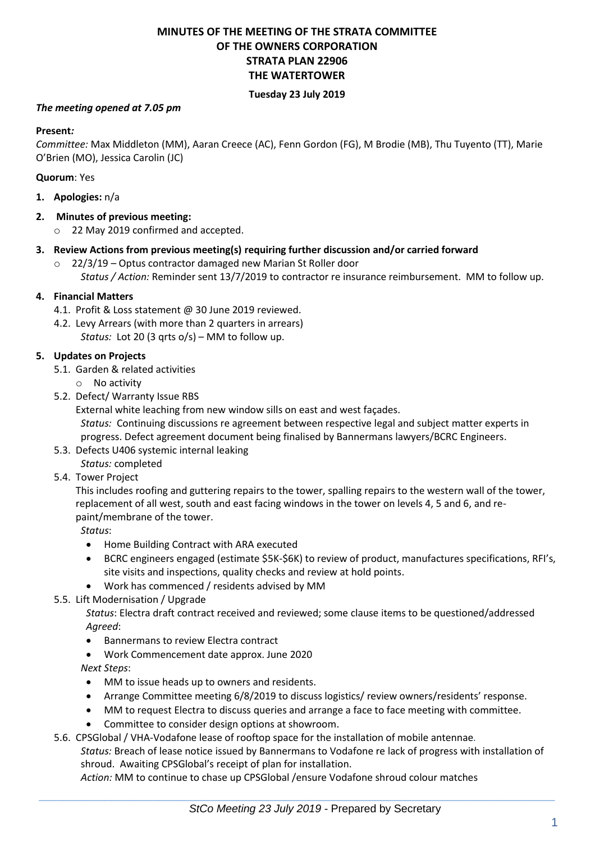# **MINUTES OF THE MEETING OF THE STRATA COMMITTEE OF THE OWNERS CORPORATION STRATA PLAN 22906 THE WATERTOWER**

#### **Tuesday 23 July 2019**

### *The meeting opened at 7.05 pm*

### **Present***:*

*Committee:* Max Middleton (MM), Aaran Creece (AC), Fenn Gordon (FG), M Brodie (MB), Thu Tuyento (TT), Marie O'Brien (MO), Jessica Carolin (JC)

#### **Quorum**: Yes

- **1. Apologies:** n/a
- **2. Minutes of previous meeting:**
	- o 22 May 2019 confirmed and accepted.
- **3. Review Actions from previous meeting(s) requiring further discussion and/or carried forward**
	- o 22/3/19 Optus contractor damaged new Marian St Roller door *Status / Action:* Reminder sent 13/7/2019 to contractor re insurance reimbursement. MM to follow up.

### **4. Financial Matters**

- 4.1. Profit & Loss statement @ 30 June 2019 reviewed.
- 4.2. Levy Arrears (with more than 2 quarters in arrears) *Status:* Lot 20 (3 qrts o/s) – MM to follow up.

### **5. Updates on Projects**

- 5.1. Garden & related activities
	- o No activity
- 5.2. Defect/ Warranty Issue RBS

External white leaching from new window sills on east and west façades.

*Status:* Continuing discussions re agreement between respective legal and subject matter experts in progress. Defect agreement document being finalised by Bannermans lawyers/BCRC Engineers.

5.3. Defects U406 systemic internal leaking

*Status:* completed

5.4. Tower Project

This includes roofing and guttering repairs to the tower, spalling repairs to the western wall of the tower, replacement of all west, south and east facing windows in the tower on levels 4, 5 and 6, and repaint/membrane of the tower.

*Status*:

- Home Building Contract with ARA executed
- BCRC engineers engaged (estimate \$5K-\$6K) to review of product, manufactures specifications, RFI's, site visits and inspections, quality checks and review at hold points.
- Work has commenced / residents advised by MM

# 5.5. Lift Modernisation / Upgrade

*Status*: Electra draft contract received and reviewed; some clause items to be questioned/addressed *Agreed*:

- Bannermans to review Electra contract
- Work Commencement date approx. June 2020

*Next Steps*:

- MM to issue heads up to owners and residents.
- Arrange Committee meeting 6/8/2019 to discuss logistics/ review owners/residents' response.
- MM to request Electra to discuss queries and arrange a face to face meeting with committee.
- Committee to consider design options at showroom.

5.6. CPSGlobal / VHA-Vodafone lease of rooftop space for the installation of mobile antennae*.* 

*Status:* Breach of lease notice issued by Bannermans to Vodafone re lack of progress with installation of shroud. Awaiting CPSGlobal's receipt of plan for installation.

*Action:* MM to continue to chase up CPSGlobal /ensure Vodafone shroud colour matches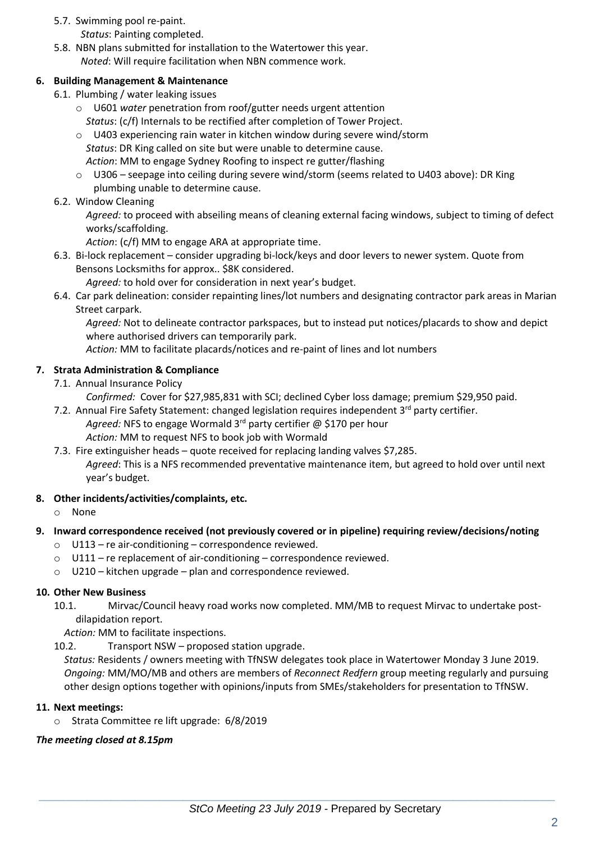## 5.7. Swimming pool re-paint.

- *Status*: Painting completed.
- 5.8. NBN plans submitted for installation to the Watertower this year. *Noted*: Will require facilitation when NBN commence work.

### **6. Building Management & Maintenance**

- 6.1. Plumbing / water leaking issues
	- o U601 *water* penetration from roof/gutter needs urgent attention *Status*: (c/f) Internals to be rectified after completion of Tower Project.
	- o U403 experiencing rain water in kitchen window during severe wind/storm
	- *Status*: DR King called on site but were unable to determine cause. *Action*: MM to engage Sydney Roofing to inspect re gutter/flashing
	- o U306 seepage into ceiling during severe wind/storm (seems related to U403 above): DR King plumbing unable to determine cause.
- 6.2. Window Cleaning

*Agreed:* to proceed with abseiling means of cleaning external facing windows, subject to timing of defect works/scaffolding.

*Action*: (c/f) MM to engage ARA at appropriate time.

6.3. Bi-lock replacement – consider upgrading bi-lock/keys and door levers to newer system. Quote from Bensons Locksmiths for approx.. \$8K considered.

*Agreed:* to hold over for consideration in next year's budget.

6.4. Car park delineation: consider repainting lines/lot numbers and designating contractor park areas in Marian Street carpark.

*Agreed:* Not to delineate contractor parkspaces, but to instead put notices/placards to show and depict where authorised drivers can temporarily park.

*Action:* MM to facilitate placards/notices and re-paint of lines and lot numbers

# **7. Strata Administration & Compliance**

7.1. Annual Insurance Policy

*Confirmed:* Cover for \$27,985,831 with SCI; declined Cyber loss damage; premium \$29,950 paid.

7.2. Annual Fire Safety Statement: changed legislation requires independent 3rd party certifier. Agreed: NFS to engage Wormald 3<sup>rd</sup> party certifier @ \$170 per hour

*Action:* MM to request NFS to book job with Wormald

7.3. Fire extinguisher heads – quote received for replacing landing valves \$7,285. *Agreed*: This is a NFS recommended preventative maintenance item, but agreed to hold over until next year's budget.

### **8. Other incidents/activities/complaints, etc.**

o None

### **9. Inward correspondence received (not previously covered or in pipeline) requiring review/decisions/noting**

- o U113 re air-conditioning correspondence reviewed.
- $\circ$  U111 re replacement of air-conditioning correspondence reviewed.
- o U210 kitchen upgrade plan and correspondence reviewed.

### **10. Other New Business**

10.1. Mirvac/Council heavy road works now completed. MM/MB to request Mirvac to undertake postdilapidation report.

*Action:* MM to facilitate inspections.

10.2. Transport NSW – proposed station upgrade.

*Status:* Residents / owners meeting with TfNSW delegates took place in Watertower Monday 3 June 2019. *Ongoing:* MM/MO/MB and others are members of *Reconnect Redfern* group meeting regularly and pursuing other design options together with opinions/inputs from SMEs/stakeholders for presentation to TfNSW.

### **11. Next meetings:**

o Strata Committee re lift upgrade: 6/8/2019

# *The meeting closed at 8.15pm*

 $\_$  , and the set of the set of the set of the set of the set of the set of the set of the set of the set of the set of the set of the set of the set of the set of the set of the set of the set of the set of the set of th